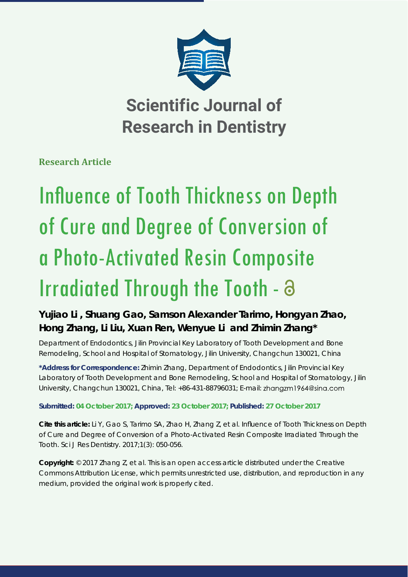

**Scientific Journal of Research in Dentistry**

**Research Article**

# **Influence of Tooth Thickness on Depth** of Cure and Degree of Conversion of a Photo-Activated Resin Composite Irradiated Through the Tooth -

# **Yujiao Li , Shuang Gao, Samson Alexander Tarimo, Hongyan Zhao, Hong Zhang, Li Liu, Xuan Ren, Wenyue Li and Zhimin Zhang\***

*Department of Endodontics, Jilin Provincial Key Laboratory of Tooth Development and Bone Remodeling, School and Hospital of Stomatology, Jilin University, Changchun 130021, China*

**\*Address for Correspondence:** Zhimin Zhang, Department of Endodontics, Jilin Provincial Key Laboratory of Tooth Development and Bone Remodeling, School and Hospital of Stomatology, Jilin University, Changchun 130021, China, Tel: +86-431-88796031; E-mail:

# **Submitted: 04 October 2017; Approved: 23 October 2017; Published: 27 October 2017**

**Cite this article:** Li Y, Gao S, Tarimo SA, Zhao H, Zhang Z, et al. Influence of Tooth Thickness on Depth of Cure and Degree of Conversion of a Photo-Activated Resin Composite Irradiated Through the Tooth. Sci J Res Dentistry. 2017;1(3): 050-056.

**Copyright:** © 2017 Zhang Z, et al. This is an open access article distributed under the Creative Commons Attribution License, which permits unrestricted use, distribution, and reproduction in any medium, provided the original work is properly cited.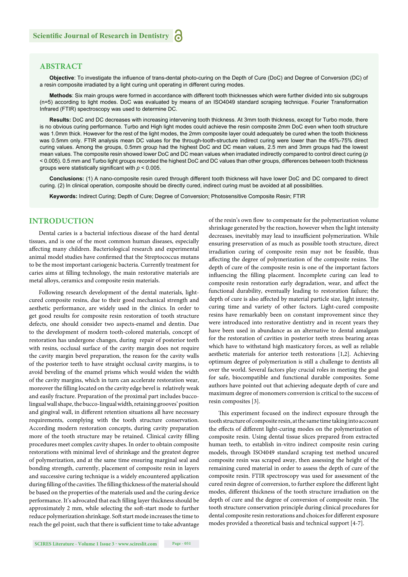# **ABSTRACT**

Objective: To investigate the influence of trans-dental photo-curing on the Depth of Cure (DoC) and Degree of Conversion (DC) of a resin composite irradiated by a light curing unit operating in different curing modes.

**Methods**: Six main groups were formed in accordance with different tooth thicknesses which were further divided into six subgroups (n=5) according to light modes. DoC was evaluated by means of an ISO4049 standard scraping technique. Fourier Transformation Infrared (FTIR) spectroscopy was used to determine DC.

**Results:** DoC and DC decreases with increasing intervening tooth thickness. At 3mm tooth thickness, except for Turbo mode, there is no obvious curing performance. Turbo and High light modes could achieve the resin composite 2mm DoC even when tooth structure was 1.0mm thick. However for the rest of the light modes, the 2mm composite layer could adequately be cured when the tooth thickness was 0.5mm only. FTIR analysis mean DC values for the through-tooth-structure indirect curing were lower than the 45%-75% direct curing values. Among the groups, 0.5mm group had the highest DoC and DC mean values, 2.5 mm and 3mm groups had the lowest mean values. The composite resin showed lower DoC and DC mean values when irradiated indirectly compared to control direct curing (*p*  < 0.005). 0.5 mm and Turbo light groups recorded the highest DoC and DC values than other groups, differences between tooth thickness groups were statistically significant with  $p < 0.005$ .

**Conclusions:** (1) A nano-composite resin cured through different tooth thickness will have lower DoC and DC compared to direct curing. (2) In clinical operation, composite should be directly cured, indirect curing must be avoided at all possibilities.

**Keywords:** Indirect Curing; Depth of Cure; Degree of Conversion; Photosensitive Composite Resin; FTIR

# **INTRODUCTION**

Dental caries is a bacterial infectious disease of the hard dental tissues, and is one of the most common human diseases, especially affecting many children. Bacteriological research and experimental animal model studies have confirmed that the Streptococcus mutans to be the most important cariogenic bacteria. Currently treatment for caries aims at filling technology, the main restorative materials are metal alloys, ceramics and composite resin materials.

Following research development of the dental materials, lightcured composite resins, due to their good mechanical strength and aesthetic performance, are widely used in the clinics. In order to get good results for composite resin restoration of tooth structure defects, one should consider two aspects-enamel and dentin. Due to the development of modern tooth-colored materials, concept of restoration has undergone changes, during repair of posterior teeth with resins, occlusal surface of the cavity margin does not require the cavity margin bevel preparation, the reason for the cavity walls of the posterior teeth to have straight occlusal cavity margins, is to avoid beveling of the enamel prisms which would widen the width of the cavity margins, which in turn can accelerate restoration wear, moreover the filling located on the cavity edge bevel is relatively weak and easily fracture. Preparation of the proximal part includes buccolingual wall shape, the bucco-lingual width, retaining grooves' position and gingival wall, in different retention situations all have necessary requirements, complying with the tooth structure conservation. According modern restoration concepts, during cavity preparation more of the tooth structure may be retained. Clinical cavity filling procedures meet complex cavity shapes. In order to obtain composite restorations with minimal level of shrinkage and the greatest degree of polymerization, and at the same time ensuring marginal seal and bonding strength, currently, placement of composite resin in layers and successive curing technique is a widely encountered application during filling of the cavities. The filling thickness of the material should be based on the properties of the materials used and the curing device performance. It's advocated that each filling layer thickness should be approximately 2 mm, while selecting the soft -start mode to further reduce polymerization shrinkage. Soft start mode increases the time to reach the gel point, such that there is sufficient time to take advantage of the resin's own flow to compensate for the polymerization volume shrinkage generated by the reaction, however when the light intensity decreases, inevitably may lead to insufficient polymerization. While ensuring preservation of as much as possible tooth structure, direct irradiation curing of composite resin may not be feasible, thus affecting the degree of polymerization of the composite resins. The depth of cure of the composite resin is one of the important factors influencing the filling placement. Incomplete curing can lead to composite resin restoration early degradation, wear, and affect the functional durability, eventually leading to restoration failure; the depth of cure is also affected by material particle size, light intensity, curing time and variety of other factors. Light-cured composite resins have remarkably been on constant improvement since they were introduced into restorative dentistry and in recent years they have been used in abundance as an alternative to dental amalgam for the restoration of cavities in posterior teeth stress bearing areas which have to withstand high masticatory forces, as well as reliable aesthetic materials for anterior teeth restorations [1,2]. Achieving optimum degree of polymerization is still a challenge to dentists all over the world. Several factors play crucial roles in meeting the goal for safe, biocompatible and functional durable composites. Some authors have pointed out that achieving adequate depth of cure and maximum degree of monomers conversion is critical to the success of resin composites [3].

This experiment focused on the indirect exposure through the tooth structure of composite resin, at the same time taking into account the effects of different light-curing modes on the polymerization of composite resin. Using dental tissue slices prepared from extracted human teeth, to establish in-vitro indirect composite resin curing models, through ISO4049 standard scraping test method uncured composite resin was scraped away, then assessing the height of the remaining cured material in order to assess the depth of cure of the composite resin. FTIR spectroscopy was used for assessment of the cured resin degree of conversion, to further explore the different light modes, different thickness of the tooth structure irradiation on the depth of cure and the degree of conversion of composite resin. The tooth structure conservation principle during clinical procedures for dental composite resin restorations and choices for different exposure modes provided a theoretical basis and technical support [4-7].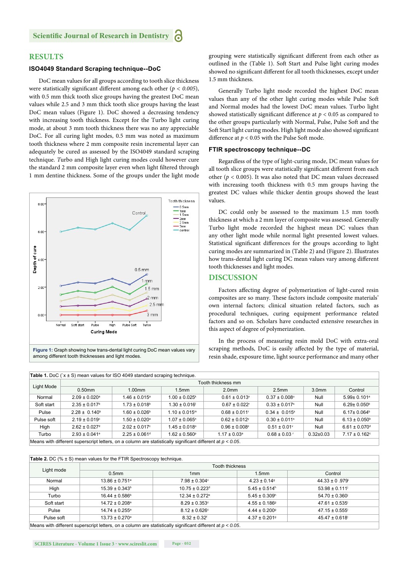# **RESULTS**

#### **ISO4049 Standard Scraping technique--DoC**

DoC mean values for all groups according to tooth slice thickness were statistically significant different among each other ( $p < 0.005$ ), with 0.5 mm thick tooth slice groups having the greatest DoC mean values while 2.5 and 3 mm thick tooth slice groups having the least DoC mean values (Figure 1). DoC showed a decreasing tendency with increasing tooth thickness. Except for the Turbo light curing mode, at about 3 mm tooth thickness there was no any appreciable DoC. For all curing light modes, 0.5 mm was noted as maximum tooth thickness where 2 mm composite resin incremental layer can adequately be cured as assessed by the ISO4049 standard scraping technique. *T*urbo and High light curing modes could however cure the standard 2 mm composite layer even when light filtered through 1 mm dentine thickness. Some of the groups under the light mode



among different tooth thicknesses and light modes.

grouping were statistically significant different from each other as outlined in the (Table 1). Soft Start and Pulse light curing modes showed no significant different for all tooth thicknesses, except under 1.5 mm thickness.

Generally Turbo light mode recorded the highest DoC mean values than any of the other light curing modes while Pulse Soft and Normal modes had the lowest DoC mean values. Turbo light showed statistically significant difference at  $p < 0.05$  as compared to the other groups particularly with Normal, Pulse, Pulse Soft and the Soft Start light curing modes. High light mode also showed significant difference at  $p < 0.05$  with the Pulse Soft mode.

#### **FTIR spectroscopy technique--DC**

Regardless of the type of light-curing mode, DC mean values for all tooth slice groups were statistically significant different from each other ( $p < 0.005$ ). It was also noted that DC mean values decreased with increasing tooth thickness with 0.5 mm groups having the greatest DC values while thicker dentin groups showed the least values.

DC could only be assessed to the maximum 1.5 mm tooth thickness at which a 2 mm layer of composite was assessed. Generally Turbo light mode recorded the highest mean DC values than any other light mode while normal light presented lowest values. Statistical significant differences for the groups according to light curing modes are summarized in (Table 2) and (Figure 2). Illustrates how trans-dental light curing DC mean values vary among different tooth thicknesses and light modes.

## **DISCUSSION**

Factors affecting degree of polymerization of light-cured resin composites are so many. These factors include composite materials' own internal factors; clinical situation related factors, such as procedural techniques, curing equipment performance related factors and so on. Scholars have conducted extensive researches in this aspect of degree of polymerization.

In the process of measuring resin mold DoC with extra-oral scraping methods, DoC is easily affected by the type of material, resin shade, exposure time, light source performance and many other

| <b>Table 1.</b> DoC $(x \pm S)$ mean values for ISO 4049 standard scraping technique.                         |                               |                               |                               |                               |                               |                   |                               |  |
|---------------------------------------------------------------------------------------------------------------|-------------------------------|-------------------------------|-------------------------------|-------------------------------|-------------------------------|-------------------|-------------------------------|--|
| Light Mode                                                                                                    | Tooth thickness mm            |                               |                               |                               |                               |                   |                               |  |
|                                                                                                               | $0.50$ mm                     | $1.00$ mm                     | 1.5 <sub>mm</sub>             | 2.0 <sub>mm</sub>             | 2.5 <sub>mm</sub>             | 3.0 <sub>mm</sub> | Control                       |  |
| Normal                                                                                                        | $2.09 \pm 0.020^{\circ}$      | $1.46 \pm 0.015^{\circ}$      | $0.00 \pm 0.025$ <sup>k</sup> | $0.61 \pm 0.013$ <sup>x</sup> | $0.37 \pm 0.008$              | Null              | 5.99± 0.101 <sup>a</sup>      |  |
| Soft start                                                                                                    | $2.35 \pm 0.017$ <sup>b</sup> | $1.73 \pm 0.018^b$            | $1.30 \pm 0.016$              | $0.67 \pm 0.022$ <sup>r</sup> | $0.33 \pm 0.017$ <sup>s</sup> | Null              | $6.29 \pm 0.050^{\circ}$      |  |
| Pulse                                                                                                         | $2.28 \pm 0.140^{\circ}$      | $1.60 \pm 0.026^{\circ}$      | $1.10 \pm 0.015$ <sup>m</sup> | $0.68 \pm 0.011$ <sup>r</sup> | $0.34 \pm 0.015$ <sup>s</sup> | Null              | $6.17 \pm 0.064$ <sup>b</sup> |  |
| Pulse soft                                                                                                    | $2.19 \pm 0.019$ °            | $1.50 \pm 0.020$ <sup>a</sup> | $1.07 \pm 0.065$ <sup>n</sup> | $0.62 \pm 0.012$ <sup>y</sup> | $0.30 \pm 0.011$ <sup>s</sup> | Null              | $6.13 \pm 0.050$ <sup>b</sup> |  |
| High                                                                                                          | $2.62 \pm 0.027$ <sup>d</sup> | $2.02 \pm 0.017$ °            | $1.45 \pm 0.018$ °            | $0.96 \pm 0.008^z$            | $0.51 \pm 0.01$ <sup>v</sup>  | Null              | $6.61 \pm 0.070$ <sup>d</sup> |  |
| Turbo                                                                                                         | $2.93 \pm 0.041$ <sup>e</sup> | $2.25 \pm 0.061$ <sup>d</sup> | $1.62 \pm 0.560^{\circ}$      | $1.17 \pm 0.03$ <sup>a</sup>  | $0.68 \pm 0.03$ <sup>r</sup>  | $0.32 \pm 0.03$   | $7.17 \pm 0.162$ °            |  |
| Means with different superscript letters, on a column are statistically significant different at $p < 0.05$ . |                               |                               |                               |                               |                               |                   |                               |  |

|            | <b>Tooth thickness</b>         |                                |                               |                   |  |  |  |
|------------|--------------------------------|--------------------------------|-------------------------------|-------------------|--|--|--|
| Light mode | 0.5 <sub>mm</sub>              | 1 <sub>mm</sub>                | 1.5 <sub>mm</sub>             | Control           |  |  |  |
| Normal     | $13.86 \pm 0.751$ <sup>a</sup> | $7.98 \pm 0.304$ °             | $4.23 \pm 0.14$ <sup>9</sup>  | $44.33 \pm 0.979$ |  |  |  |
| High       | $15.39 \pm 0.343$ <sup>b</sup> | $10.75 \pm 0.223$ <sup>d</sup> | $5.45 \pm 0.514$ <sup>h</sup> | $53.98 \pm 0.111$ |  |  |  |
| Turbo      | $16.44 \pm 0.586$ <sup>b</sup> | $12.34 \pm 0.272$ <sup>e</sup> | $5.45 \pm 0.309$ <sup>h</sup> | $54.70 \pm 0.360$ |  |  |  |
| Soft start | $14.72 \pm 0.208$ <sup>a</sup> | $8.29 \pm 0.353$ °             | $4.55 \pm 0.186$ <sup>9</sup> | $47.61 \pm 0.535$ |  |  |  |
| Pulse      | $14.74 \pm 0.255$ <sup>a</sup> | $8.12 \pm 0.626$ °             | $4.44 \pm 0.200$ <sup>9</sup> | $47.15 \pm 0.555$ |  |  |  |
| Pulse soft | $13.73 \pm 0.270$ <sup>a</sup> | $8.32 \pm 0.32$ <sup>f</sup>   | $4.37 \pm 0.201$ <sup>9</sup> | $45.47 \pm 0.618$ |  |  |  |

Means with different superscript letters, on a column are statistically significant different at *p < 0.05*.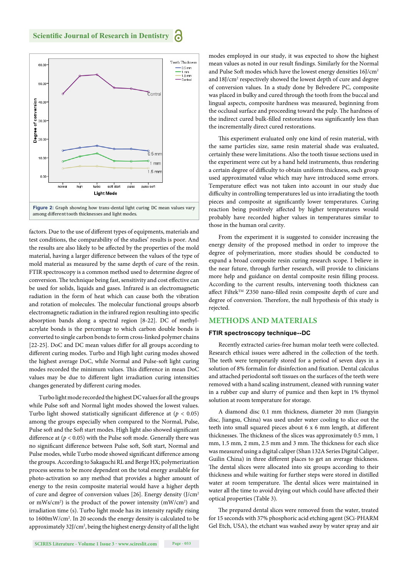

factors. Due to the use of different types of equipments, materials and test conditions, the comparability of the studies' results is poor. And the results are also likely to be affected by the properties of the mold material, having a larger difference between the values of the type of mold material as measured by the same depth of cure of the resin. FTIR spectroscopy is a common method used to determine degree of conversion. The technique being fast, sensitivity and cost effective can be used for solids, liquids and gases. Infrared is an electromagnetic radiation in the form of heat which can cause both the vibration and rotation of molecules. The molecular functional groups absorb electromagnetic radiation in the infrared region resulting into specific absorption bands along a spectral region [8-22]. DC of methylacrylate bonds is the percentage to which carbon double bonds is converted to single carbon bonds to form cross-linked polymer chains [22-25]. DoC and DC mean values differ for all groups according to different curing modes. Turbo and High light curing modes showed the highest average DoC, while Normal and Pulse-soft light curing modes recorded the minimum values. This difference in mean DoC values may be due to different light irradiation curing intensities changes generated by different curing modes.

Turbo light mode recorded the highest DC values for all the groups while Pulse soft and Normal light modes showed the lowest values. Turbo light showed statistically significant difference at  $(p < 0.05)$ among the groups especially when compared to the Normal, Pulse, Pulse soft and the Soft start modes. High light also showed significant difference at  $(p < 0.05)$  with the Pulse soft mode. Generally there was no significant difference between Pulse soft, Soft start, Normal and Pulse modes, while Turbo mode showed significant difference among the groups. According to Sakaguchi RL and Berge HX; polymerization process seems to be more dependent on the total energy available for photo-activation so any method that provides a higher amount of energy to the resin composite material would have a higher depth of cure and degree of conversion values [26]. Energy density (J/cm2 or mWs/cm<sup>2</sup>) is the product of the power intensity (mW/cm<sup>2</sup>) and irradiation time (s). Turbo light mode has its intensity rapidly rising to 1600mW/cm2 . In 20 seconds the energy density is calculated to be approximately 32J/cm<sup>2</sup>, being the highest energy density of all the light modes employed in our study, it was expected to show the highest mean values as noted in our result findings. Similarly for the Normal and Pulse Soft modes which have the lowest energy densities 16J/cm2 and 18J/cm<sup>2</sup> respectively showed the lowest depth of cure and degree of conversion values. In a study done by Belvedere PC, composite was placed in bulky and cured through the tooth from the buccal and lingual aspects, composite hardness was measured, beginning from the occlusal surface and proceeding toward the pulp. The hardness of the indirect cured bulk-filled restorations was significantly less than the incrementally direct cured restorations.

This experiment evaluated only one kind of resin material, with the same particles size, same resin material shade was evaluated, certainly these were limitations. Also the tooth tissue sections used in the experiment were cut by a hand held instruments, thus rendering a certain degree of difficulty to obtain uniform thickness, each group used approximated value which may have introduced some errors. Temperature effect was not taken into account in our study due difficulty in controlling temperatures led us into irradiating the tooth pieces and composite at significantly lower temperatures. Curing reaction being positively affected by higher temperatures would probably have recorded higher values in temperatures similar to those in the human oral cavity.

From the experiment it is suggested to consider increasing the energy density of the proposed method in order to improve the degree of polymerization, more studies should be conducted to expand a broad composite resin curing research scope. I believe in the near future, through further research, will provide to clinicians more help and guidance on dental composite resin filling process. According to the current results, intervening tooth thickness can affect Filtek<sup>TM</sup> Z350 nano-filled resin composite depth of cure and degree of conversion. Therefore, the null hypothesis of this study is rejected.

# **METHODS AND MATERIALS**

#### **FTIR spectroscopy technique--DC**

Recently extracted caries-free human molar teeth were collected. Research ethical issues were adhered in the collection of the teeth. The teeth were temporarily stored for a period of seven days in a solution of 8% formalin for disinfection and fixation. Dental calculus and attached periodontal soft tissues on the surfaces of the teeth were removed with a hand scaling instrument, cleaned with running water in a rubber cup and slurry of pumice and then kept in 1% thymol solution at room temperature for storage.

A diamond disc 0.1 mm thickness, diameter 20 mm (Jiangyin disc, Jiangsu, China) was used under water cooling to slice out the teeth into small squared pieces about 6 x 6 mm length, at different thicknesses. The thickness of the slices was approximately 0.5 mm, 1 mm, 1.5 mm, 2 mm, 2.5 mm and 3 mm. The thickness for each slice was measured using a digital caliper (Shan 132A Series Digital Caliper, Guilin China) in three different places to get an average thickness. The dental slices were allocated into six groups according to their thickness and while waiting for further steps were stored in distilled water at room temperature. The dental slices were maintained in water all the time to avoid drying out which could have affected their optical properties (Table 3).

The prepared dental slices were removed from the water, treated for 15 seconds with 37% phosphoric acid etching agent (SCi-PHARM Gel Etch, USA), the etchant was washed away by water spray and air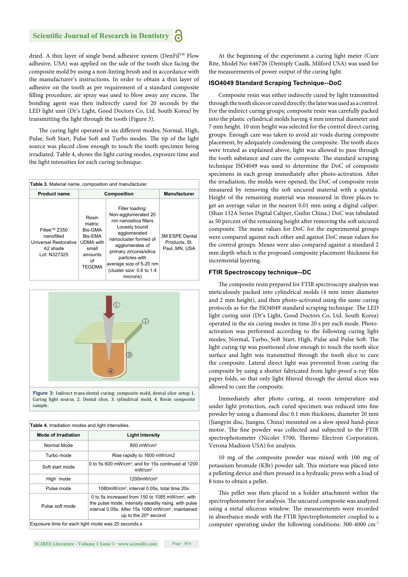dried. A thin layer of single bond adhesive system (DenFil™ Flow adhesive, USA) was applied on the side of the tooth slice facing the composite mold by using a non-linting brush and in accordance with the manufacturer's instructions. In order to obtain a thin layer of adhesive on the tooth as per requirement of a standard composite filling procedure, air spray was used to blow away any excess. The bonding agent was then indirectly cured for 20 seconds by the LED light unit (Dr's Light, Good Doctors Co, Ltd. South Korea) by transmitting the light through the tooth (Figure 3).

The curing light operated in six different modes; Normal, High, Pulse, Soft Start, Pulse Soft and Turbo modes. The tip of the light source was placed close enough to touch the tooth specimen being irradiated. Table 4, shows the light curing modes, exposure time and the light intensities for each curing technique.

| Table 3. Material name, composition and manufacturer.                                                   |                                                                                                       |                                                                                                                                                                                                                                                               |                                                  |  |  |
|---------------------------------------------------------------------------------------------------------|-------------------------------------------------------------------------------------------------------|---------------------------------------------------------------------------------------------------------------------------------------------------------------------------------------------------------------------------------------------------------------|--------------------------------------------------|--|--|
| <b>Product name</b>                                                                                     | Composition                                                                                           | <b>Manufacturer</b>                                                                                                                                                                                                                                           |                                                  |  |  |
| Filtek <sup>™</sup> Z350<br>nanofilled<br>Universal Restorative<br>A <sub>2</sub> shade<br>Lot: N327325 | Resin<br>matrix:<br>Bis-GMA<br>Bis-EMA<br><b>UDMA</b> with<br>small<br>amounts<br>οf<br><b>TEGDMA</b> | Filler loading:<br>Non-agglomerated 20<br>nm nanosilica fillers<br>Loosely bound<br>agglomerated<br>nanocluster formed of<br>agglomerates of<br>primary zirconia/silica<br>particles with<br>average size of 5-20 nm<br>(cluster size: 0.6 to 1.4<br>microns) | 3M ESPE Dental<br>Products, St.<br>Paul. MN. USA |  |  |



**Figure 3:** Indirect trans-dental curing; composite mold, dental slice setup 1. Curing light source, 2. Dental slice, 3. cylindrical mold, 4. Resin composite sample.

| Table 4. Irradiation modes and light intensities.  |                                                                                                                                                                                                                    |  |  |
|----------------------------------------------------|--------------------------------------------------------------------------------------------------------------------------------------------------------------------------------------------------------------------|--|--|
| <b>Mode of Irradiation</b>                         | <b>Light intensity</b>                                                                                                                                                                                             |  |  |
| Normal Mode                                        | 800 mW/cm <sup>2</sup>                                                                                                                                                                                             |  |  |
| Turbo mode                                         | Rise rapidly to 1600 mW/cm2                                                                                                                                                                                        |  |  |
| Soft start mode                                    | 0 to 5s 600 mW/cm <sup>2</sup> , and for 15s continued at 1200<br>mW/cm <sup>2</sup>                                                                                                                               |  |  |
| High mode                                          | $1200$ mW/cm <sup>2</sup>                                                                                                                                                                                          |  |  |
| Pulse mode                                         | 1080mW/cm <sup>2</sup> , interval 0.05s, total time 20s                                                                                                                                                            |  |  |
| Pulse soft mode                                    | 0 to 5s increased from 150 to 1085 mW/cm <sup>2</sup> , with<br>the pulse mode, intensity steadily rising, with pulse<br>interval 0.05s. After 15s 1080 mW/cm <sup>2</sup> , maintained<br>up to the $20th$ second |  |  |
| Exposure time for each light mode was 20 seconds.s |                                                                                                                                                                                                                    |  |  |

**SCIRES Literature - Volume 1 Issue 3 - www.scireslit.com Page - 054**

At the beginning of the experiment a curing light meter (Cure Rite, Model No: 646726 (Dentsply Caulk, Milford USA) was used for the measurements of power output of the curing light.

#### **ISO4049 Standard Scraping Technique--DoC**

Composite resin was either indirectly cured by light transmitted through the tooth slices or cured directly; the later was used as a control. For the indirect curing groups; composite resin was carefully packed into the plastic cylindrical molds having 4 mm internal diameter and 7 mm height. 10 mm height was selected for the control direct curing groups. Enough care was taken to avoid air voids during composite placement, by adequately condensing the composite. The tooth slices were treated as explained above, light was allowed to pass through the tooth substance and cure the composite. The standard scraping technique ISO4049 was used to determine the DoC of composite specimens in each group immediately after photo-activation. After the irradiation, the molds were opened; the DoC of composite resin measured by removing the soft uncured material with a spatula. Height of the remaining material was measured in three places to get an average value in the nearest 0.01 mm using a digital caliper. (Shan 132A Series Digital Caliper, Guilin China.) DoC was tabulated as 50 percent of the remaining height after removing the soft uncured composite. The mean values for DoC for the experimental groups were compared against each other and against DoC mean values for the control groups. Means were also compared against a standard 2 mm depth which is the proposed composite placement thickness for incremental layering.

#### **FTIR Spectroscopy technique--DC**

The composite resin prepared for FTIR spectroscopy analysis was meticulously packed into cylindrical molds (4 mm inner diameter and 2 mm height), and then photo-activated using the same curing protocols as for the ISO4049 standard scraping technique. The LED light curing unit (Dr's Light, Good Doctors Co, Ltd. South Korea) operated in the six curing modes in time 20 s per each mode. Photoactivation was performed according to the following curing light modes; Normal, Turbo, Soft Start, High, Pulse and Pulse Soft. The light curing tip was positioned close enough to touch the tooth slice surface and light was transmitted through the tooth slice to cure the composite. Lateral direct light was prevented from curing the composite by using a shutter fabricated from light-proof x-ray film paper folds, so that only light filtered through the dental slices was allowed to cure the composite.

Immediately after photo curing, at room temperature and under light protection, each cured specimen was reduced into fine powder by using a diamond disc 0.1 mm thickness, diameter 20 mm (Jiangyin disc, Jiangsu, China) mounted on a slow speed hand-piece motor. The fine powder was collected and subjected to the FTIR spectrophotometer (Nicolet 5700, Thermo Electron Corporation, Verona Madison USA) for analysis.

10 mg of the composite powder was mixed with 100 mg of potassium bromide (KBr) powder salt. This mixture was placed into a pelleting device and then pressed in a hydraulic press with a load of 8 tons to obtain a pellet.

This pellet was then placed in a holder attachment within the spectrophotometer for analysis. The uncured composite was analyzed using a metal siliceous window. The measurements were recorded in absorbance mode with the FTIR Spectrophotometer coupled to a computer operating under the following conditions: 300-4000 cm-1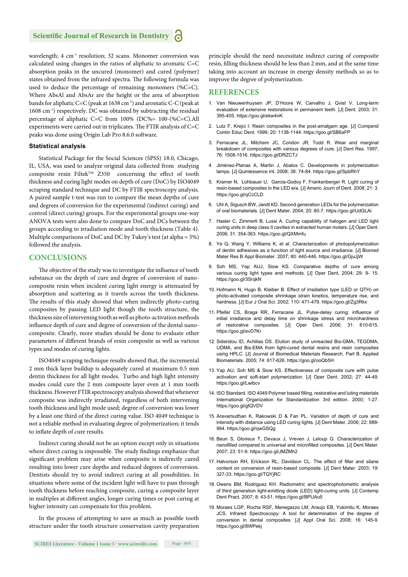wavelength; 4 cm<sup>-1</sup> resolution; 32 scans. Monomer conversion was calculated using changes in the ratios of aliphatic to aromatic C=C absorption peaks in the uncured (monomer) and cured (polymer) states obtained from the infrared spectra. The following formula was used to deduce the percentage of remaining monomers (%C=C). Where AbsAl and AbsAr are the height or the area of absorption bands for aliphatic C=C (peak at 1638 cm<sup>-1</sup>) and aromatic C-C (peak at 1608 cm-1) respectively. DC was obtained by subtracting the residual percentage of aliphatic C=C from 100% (DC%= 100-(%C=C).All experiments were carried out in triplicates. The FTIR analysis of  $C = C$ peaks was done using Origin Lab Pro 8.6.0 software.

### **Statistical analysis**

Statistical Package for the Social Sciences (SPSS) 18.0, Chicago, IL, USA, was used to analyze original data collected from studying composite resin FiltekTM Z350 concerning the effect of tooth thickness and curing light modes on depth of cure (DoC) by ISO4049 scraping standard technique and DC by FTIR spectroscopy analysis. A paired sample t-test was run to compare the mean depths of cure and degrees of conversion for the experimental (indirect curing) and control (direct curing) groups. For the experimental groups one-way ANOVA tests were also done to compare DoC and DCs between the groups according to irradiation mode and tooth thickness (Table 4). Multiple comparisons of DoC and DC by Tukey's test (at alpha = 5%) followed the analysis.

## **CONCLUSIONS**

The objective of the study was to investigate the influence of tooth substance on the depth of cure and degree of conversion of nanocomposite resin when incident curing light energy is attenuated by absorption and scattering as it travels across the tooth thickness. The results of this study showed that when indirectly photo-curing composites by passing LED light though the tooth structure, the thickness size of intervening tooth as well as photo-activation methods influence depth of cure and degree of conversion of the dental nanocomposite. Clearly, more studies should be done to evaluate other parameters of different brands of resin composite as well as various types and modes of curing lights.

ISO4049 scraping technique results showed that, the incremental 2 mm thick layer buildup is adequately cured at maximum 0.5 mm dentin thickness for all light modes. Turbo and high light intensity modes could cure the 2 mm composite layer even at 1 mm tooth thickness. However FTIR spectroscopy analysis showed that whenever composite was indirectly irradiated, regardless of both intervening tooth thickness and light mode used; degree of conversion was lower by a least one third of the direct curing value. ISO 4049 technique is not a reliable method in evaluating degree of polymerization; it tends to inflate depth of cure results.

Indirect curing should not be an option except only in situations where direct curing is impossible. The study findings emphasize that significant problem may arise when composite is indirectly cured resulting into lower cure depths and reduced degrees of conversion. Dentists should try to avoid indirect curing at all possibilities. In situations where some of the incident light will have to pass through tooth thickness before reaching composite, curing a composite layer in multiples at different angles, longer curing times or post curing at higher intensity can compensate for this problem.

In the process of attempting to save as much as possible tooth structure under the tooth structure conservation cavity preparation

principle should the need necessitate indirect curing of composite resin, filling thickness should be less than 2 mm, and at the same time taking into account an increase in energy density methods so as to improve the degree of polymerization.

#### **REFERENCES**

- 1. Van Nieuwenhuysen JP, D'Hoore W, Carvalho J, Qvist V. Long-term evaluation of extensive restorations in permanent teeth. [J] Dent. 2003; 31: 395-405. https://goo.gl/ekw4nK
- 2. Lutz F, Krejci I. Resin composites in the post-amalgam age. [J] Compend Contin Educ Dent. 1999; 20: 1138-1144. https://goo.gl/SB6aFP
- 3. Ferracane JL, Mitchem JC, Condon JR, Todd R. Wear and marginal breakdown of composites with various degrees of cure. [J] Dent Res. 1997; 76: 1508-1516. https://goo.gl/DRZCTJ
- 4. Jiménez-Planas A, Martin J, Abalos C. Developments in polymerization lamps. [J] Quintessence Int. 2008; 38: 74-84. https://goo.gl/SpbRhY
- 5. Kramer N, Lohbauer U, Garcia-Godoy F, Frankenberger R. Light curing of resin-based composites in the LED era. [J] Americ Journ of Dent. 2008; 21: 3. https://goo.gl/qCcCLD
- 6. Uhl A, Sigusch BW, Jandt KD. Second generation LEDs for the polymerization of oral biomaterials. [J] Dent Mater. 2004; 20: 80-7. https://goo.gl/UdGLAi
- 7. Hasler C, Zimmerli B, Lussi A. Curing capability of halogen and LED light curing units in deep class II cavities in extracted human molars. [J] Oper Dent. 2006; 31: 354-363. https://goo.gl/QXMmfu
- 8. Ye Q, Wang Y, Williams K, et al. Characterization of photopolymerization of dentin adhesives as a function of light source and irradiance. [J] Biomed Mater Res B Appl Biomater. 2007; 80: 440-446. https://goo.gl/GjuJjW
- 9. Soh MS, Yap AUJ, Siow KS. Comparative depths of cure among various curing light types and methods. [J] Oper Dent, 2004; 29: 9- 15. https://goo.gl/3SrqkN
- 10. Hofmann N, Hugo B, Klaiber B. Effect of irradiation type (LED or QTH) on photo-activated composite shrinkage strain kinetics, temperature rise, and hardness. [J] Eur J Oral Sci. 2002; 110: 471-479. https://goo.gl/Zg3Rkx
- 11. Pfeifer CS, Braga RR, Ferracane JL. Pulse-delay curing: influence of initial irradiance and delay time on shrinkage stress and microhardness of restorative composites. [J] Oper Dent. 2006; 31: 610-615. https://goo.gl/evD7Kr
- 12. Sideridou ID, Achilias DS. Elution study of unreacted Bis-GMA, TEGDMA, UDMA, and Bis-EMA from light-cured dental resins and resin composites using HPLC. [J] Journal of Biomedical Materials Research. Part B, Applied Biomaterials. 2005; 74: 617-626. https://goo.gl/ooQb5H
- 13. Yap AU, Soh MS & Siow KS. Effectiveness of composite cure with pulse activation and soft-start polymerization. [J] Oper Dent. 2002; 27: 44-49. https://goo.gl/Lwibcv
- 14. ISO Standard. ISO 4049 Polymer based filling, restorative and luting materials International Organization for Standardization 3rd edition. 2000; 1-27. https://goo.gl/gtQVDV
- 15. Aravamudhan K, Rakowski D & Fan PL. Variation of depth of cure and intensity with distance using LED curing lights. [J] Dent Mater. 2006; 22: 988- 994. https://goo.gl/qwGSQg
- 16. Beun S, Glorieux T, Devaux J, Vreven J, Leloup G. Characterization of nanofilled compared to universal and microfilled composites. [J] Dent Mater. 2007; 23: 51-9. https://goo.gl/JMZMh2
- 17. Halvorson RH, Erickson RL, Davidson CL. The effect of filler and silane content on conversion of resin-based composite. [J] Dent Mater. 2003; 19: 327-33. https://goo.gl/TQYjRC
- 18. Owens BM, Rodriguez KH. Radiometric and spectrophotometric analysis of third generation light-emitting diode (LED) light-curing units. [J] Contemp Dent Pract. 2007; 8: 43-51. https://goo.gl/BPUAo5
- 19. Moraes LGP, Rocha RSF, Menegazzo LM, Araujo EB, Yukimitu K, Moraes JCS. Infrared Spectroscopy: A tool for determination of the degree of conversion in dental composites. [J] Appl Oral Sci. 2008; 16: 145-9. https://goo.gl/8WPekj